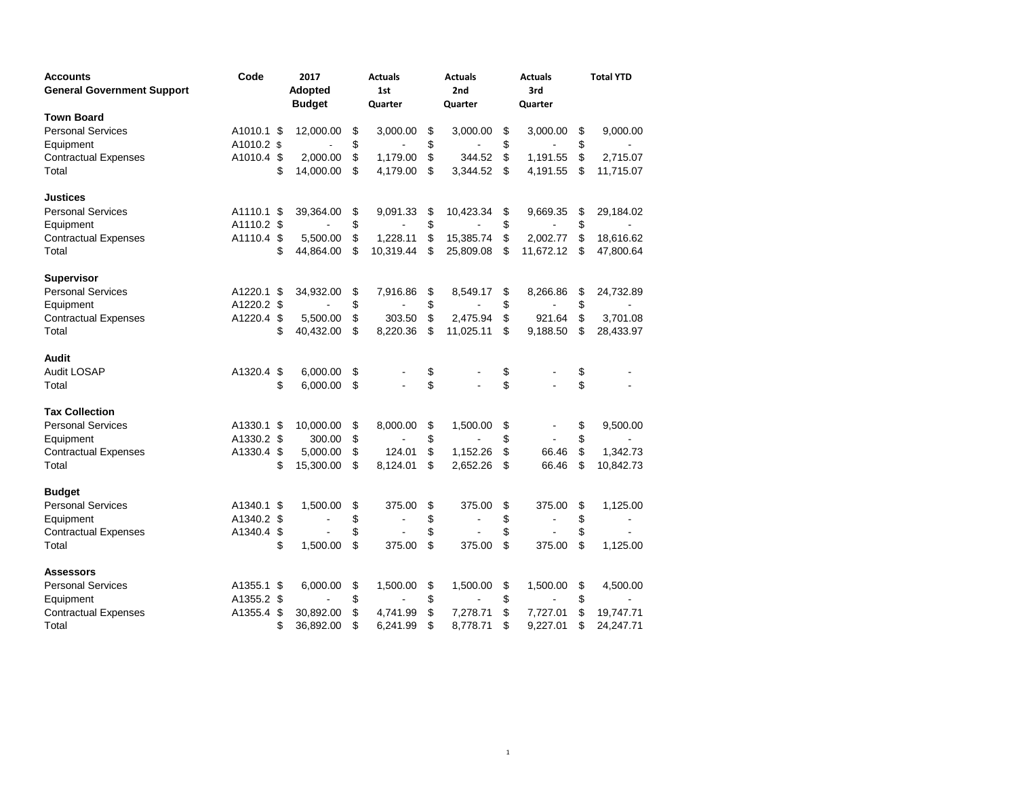| <b>Accounts</b>                   | Code       | 2017                            | <b>Actuals</b>  | <b>Actuals</b>  | <b>Actuals</b>  |    | <b>Total YTD</b> |
|-----------------------------------|------------|---------------------------------|-----------------|-----------------|-----------------|----|------------------|
| <b>General Government Support</b> |            | <b>Adopted</b><br><b>Budget</b> | 1st<br>Quarter  | 2nd<br>Quarter  | 3rd<br>Quarter  |    |                  |
| <b>Town Board</b>                 |            |                                 |                 |                 |                 |    |                  |
| <b>Personal Services</b>          | A1010.1 \$ | 12,000.00                       | \$<br>3,000.00  | \$<br>3,000.00  | \$<br>3,000.00  | \$ | 9,000.00         |
| Equipment                         | A1010.2 \$ |                                 | \$              | \$              | \$              | \$ |                  |
| <b>Contractual Expenses</b>       | A1010.4 \$ | 2,000.00                        | \$<br>1,179.00  | \$<br>344.52    | \$<br>1,191.55  | \$ | 2,715.07         |
| Total                             |            | \$<br>14,000.00                 | \$<br>4,179.00  | \$<br>3,344.52  | \$<br>4,191.55  | \$ | 11,715.07        |
| Justices                          |            |                                 |                 |                 |                 |    |                  |
| <b>Personal Services</b>          | A1110.1 \$ | 39,364.00                       | \$<br>9,091.33  | \$<br>10,423.34 | \$<br>9,669.35  | \$ | 29,184.02        |
| Equipment                         | A1110.2 \$ |                                 | \$              | \$              | \$              | \$ |                  |
| <b>Contractual Expenses</b>       | A1110.4 \$ | 5,500.00                        | \$<br>1,228.11  | \$<br>15,385.74 | \$<br>2,002.77  | \$ | 18,616.62        |
| Total                             |            | \$<br>44,864.00                 | \$<br>10,319.44 | \$<br>25,809.08 | \$<br>11,672.12 | S  | 47,800.64        |
| <b>Supervisor</b>                 |            |                                 |                 |                 |                 |    |                  |
| <b>Personal Services</b>          | A1220.1 \$ | 34,932.00                       | \$<br>7,916.86  | \$<br>8,549.17  | \$<br>8,266.86  | \$ | 24,732.89        |
| Equipment                         | A1220.2 \$ |                                 | \$              | \$              | \$              | \$ |                  |
| <b>Contractual Expenses</b>       | A1220.4 \$ | 5,500.00                        | \$<br>303.50    | \$<br>2,475.94  | \$<br>921.64    | \$ | 3,701.08         |
| Total                             |            | \$<br>40,432.00                 | \$<br>8,220.36  | \$<br>11,025.11 | \$<br>9,188.50  | \$ | 28,433.97        |
| <b>Audit</b>                      |            |                                 |                 |                 |                 |    |                  |
| Audit LOSAP                       | A1320.4 \$ | 6,000.00                        | \$              | \$              | \$              | \$ |                  |
| Total                             |            | \$<br>6,000.00                  | \$              | \$              | \$              | \$ |                  |
| <b>Tax Collection</b>             |            |                                 |                 |                 |                 |    |                  |
| <b>Personal Services</b>          | A1330.1 \$ | 10,000.00                       | \$<br>8,000.00  | \$<br>1,500.00  | \$              | \$ | 9,500.00         |
| Equipment                         | A1330.2 \$ | 300.00                          | \$              | \$              | \$              | \$ |                  |
| <b>Contractual Expenses</b>       | A1330.4 \$ | 5,000.00                        | \$<br>124.01    | \$<br>1,152.26  | \$<br>66.46     | \$ | 1,342.73         |
| Total                             |            | \$<br>15,300.00                 | \$<br>8,124.01  | \$<br>2,652.26  | \$<br>66.46     | \$ | 10,842.73        |
| <b>Budget</b>                     |            |                                 |                 |                 |                 |    |                  |
| <b>Personal Services</b>          | A1340.1 \$ | 1,500.00                        | \$<br>375.00    | \$<br>375.00    | \$<br>375.00    | \$ | 1,125.00         |
| Equipment                         | A1340.2 \$ |                                 | \$              | \$              | \$              | \$ |                  |
| <b>Contractual Expenses</b>       | A1340.4 \$ |                                 | \$              | \$              | \$              | \$ |                  |
| Total                             |            | \$<br>1,500.00                  | \$<br>375.00    | \$<br>375.00    | \$<br>375.00    | \$ | 1,125.00         |
| <b>Assessors</b>                  |            |                                 |                 |                 |                 |    |                  |
| <b>Personal Services</b>          | A1355.1 \$ | 6,000.00                        | \$<br>1,500.00  | \$<br>1,500.00  | \$<br>1,500.00  | \$ | 4,500.00         |
| Equipment                         | A1355.2 \$ |                                 | \$              | \$              | \$              | \$ |                  |
| <b>Contractual Expenses</b>       | A1355.4 \$ | 30,892.00                       | \$<br>4,741.99  | \$<br>7,278.71  | \$<br>7,727.01  | \$ | 19,747.71        |
| Total                             |            | \$<br>36,892.00                 | \$<br>6,241.99  | \$<br>8,778.71  | \$<br>9,227.01  | \$ | 24,247.71        |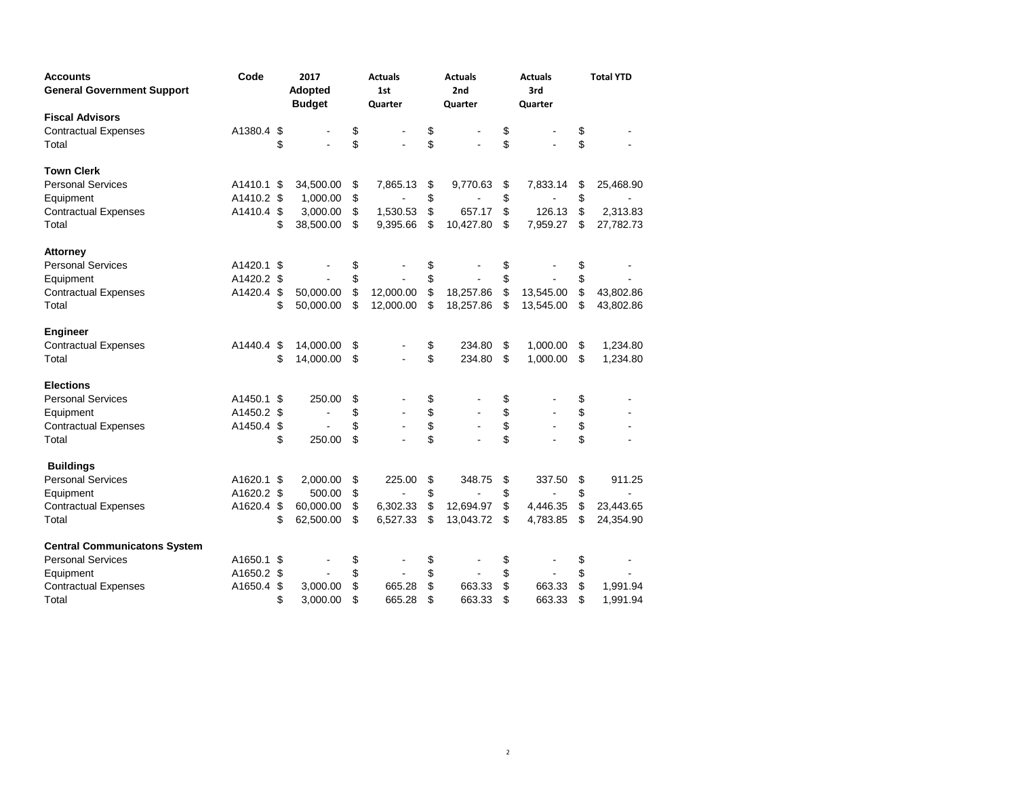| <b>Accounts</b>                     | Code       |     | 2017                            | <b>Actuals</b>       | <b>Actuals</b>  | <b>Actuals</b>  | <b>Total YTD</b> |
|-------------------------------------|------------|-----|---------------------------------|----------------------|-----------------|-----------------|------------------|
| <b>General Government Support</b>   |            |     | <b>Adopted</b><br><b>Budget</b> | 1st<br>Quarter       | 2nd<br>Quarter  | 3rd<br>Quarter  |                  |
| <b>Fiscal Advisors</b>              |            |     |                                 |                      |                 |                 |                  |
| <b>Contractual Expenses</b>         | A1380.4    | \$  |                                 | \$<br>$\overline{a}$ | \$              | \$              | \$               |
| Total                               |            | \$  |                                 | \$                   | \$              | \$              | \$               |
| <b>Town Clerk</b>                   |            |     |                                 |                      |                 |                 |                  |
| <b>Personal Services</b>            | A1410.1 \$ |     | 34,500.00                       | \$<br>7,865.13       | \$<br>9,770.63  | \$<br>7,833.14  | \$<br>25,468.90  |
| Equipment                           | A1410.2 \$ |     | 1,000.00                        | \$                   | \$              | \$              | \$               |
| <b>Contractual Expenses</b>         | A1410.4    | -\$ | 3,000.00                        | \$<br>1,530.53       | \$<br>657.17    | \$<br>126.13    | \$<br>2,313.83   |
| Total                               |            | \$  | 38,500.00                       | \$<br>9,395.66       | \$<br>10,427.80 | \$<br>7,959.27  | \$<br>27,782.73  |
| <b>Attorney</b>                     |            |     |                                 |                      |                 |                 |                  |
| <b>Personal Services</b>            | A1420.1 \$ |     |                                 | \$                   | \$              | \$              | \$               |
| Equipment                           | A1420.2    | \$  |                                 | \$                   | \$              | \$              | \$               |
| <b>Contractual Expenses</b>         | A1420.4    | -\$ | 50,000.00                       | \$<br>12,000.00      | \$<br>18,257.86 | \$<br>13,545.00 | \$<br>43,802.86  |
| Total                               |            | \$  | 50,000.00                       | \$<br>12,000.00      | \$<br>18,257.86 | \$<br>13,545.00 | \$<br>43,802.86  |
| Engineer                            |            |     |                                 |                      |                 |                 |                  |
| <b>Contractual Expenses</b>         | A1440.4    | \$  | 14,000.00                       | \$                   | \$<br>234.80    | \$<br>1,000.00  | \$<br>1,234.80   |
| Total                               |            | \$  | 14,000.00                       | \$                   | \$<br>234.80    | \$<br>1,000.00  | \$<br>1,234.80   |
| <b>Elections</b>                    |            |     |                                 |                      |                 |                 |                  |
| <b>Personal Services</b>            | A1450.1    | \$  | 250.00                          | \$                   | \$              | \$              | \$               |
| Equipment                           | A1450.2 \$ |     |                                 | \$                   | \$              | \$              | \$               |
| <b>Contractual Expenses</b>         | A1450.4    | \$  |                                 | \$                   | \$              | \$              | \$               |
| Total                               |            | \$  | 250.00                          | \$                   | \$              | \$              | \$               |
| <b>Buildings</b>                    |            |     |                                 |                      |                 |                 |                  |
| <b>Personal Services</b>            | A1620.1 \$ |     | 2,000.00                        | \$<br>225.00         | \$<br>348.75    | \$<br>337.50    | \$<br>911.25     |
| Equipment                           | A1620.2    | \$  | 500.00                          | \$                   | \$              | \$              | \$               |
| <b>Contractual Expenses</b>         | A1620.4    | -\$ | 60,000.00                       | \$<br>6,302.33       | \$<br>12,694.97 | \$<br>4,446.35  | \$<br>23,443.65  |
| Total                               |            | \$  | 62,500.00                       | \$<br>6,527.33       | \$<br>13,043.72 | \$<br>4,783.85  | \$<br>24,354.90  |
| <b>Central Communicatons System</b> |            |     |                                 |                      |                 |                 |                  |
| <b>Personal Services</b>            | A1650.1    | \$  |                                 | \$                   | \$              | \$              | \$               |
| Equipment                           | A1650.2    | S   |                                 | \$                   | \$              | \$              | \$               |
| <b>Contractual Expenses</b>         | A1650.4    | \$  | 3,000.00                        | \$<br>665.28         | \$<br>663.33    | \$<br>663.33    | \$<br>1,991.94   |
| Total                               |            | \$  | 3,000.00                        | \$<br>665.28         | \$<br>663.33    | \$<br>663.33    | \$<br>1,991.94   |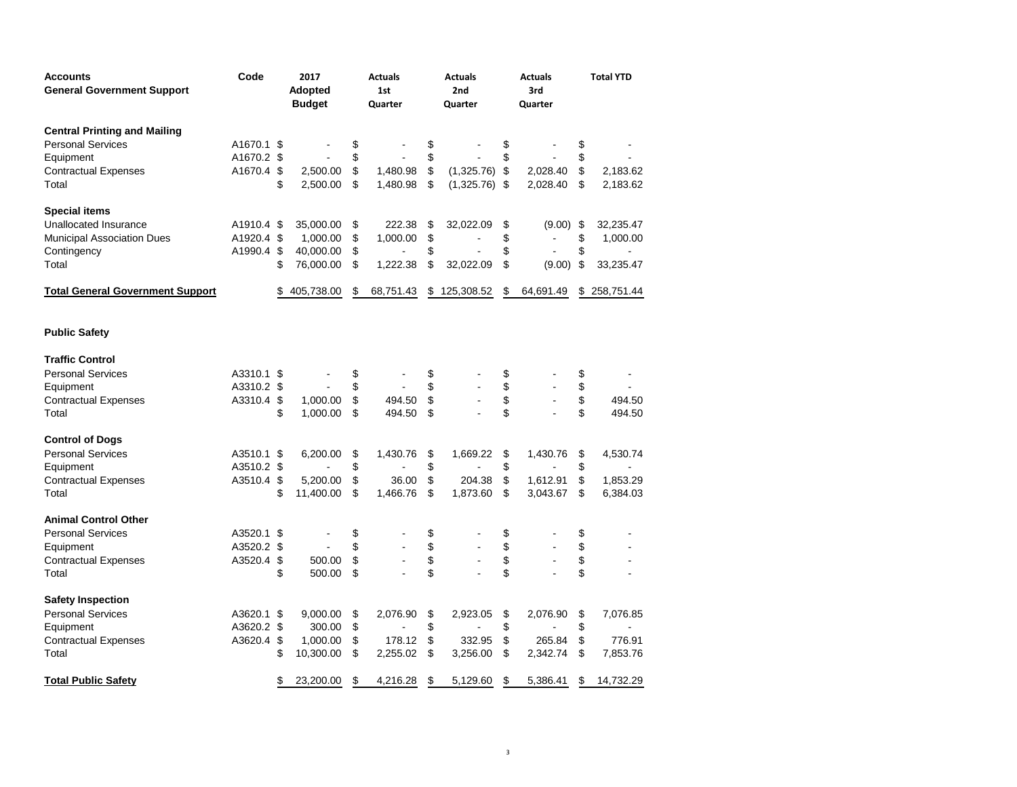| <b>Accounts</b>                         | Code       |    | 2017           | <b>Actuals</b>       | <b>Actuals</b>        | <b>Actuals</b>                 |     | <b>Total YTD</b> |
|-----------------------------------------|------------|----|----------------|----------------------|-----------------------|--------------------------------|-----|------------------|
| <b>General Government Support</b>       |            |    | <b>Adopted</b> | 1st                  | 2nd                   | 3rd                            |     |                  |
|                                         |            |    | <b>Budget</b>  | Quarter              | Quarter               | Quarter                        |     |                  |
| <b>Central Printing and Mailing</b>     |            |    |                |                      |                       |                                |     |                  |
| <b>Personal Services</b>                | A1670.1    | \$ |                | \$                   | \$                    | \$                             | \$  |                  |
| Equipment                               | A1670.2    | \$ | $\blacksquare$ | \$                   | \$                    | \$                             | \$  |                  |
| <b>Contractual Expenses</b>             | A1670.4    | \$ | 2,500.00       | \$<br>1,480.98       | \$<br>(1,325.76)      | \$<br>2,028.40                 | \$  | 2,183.62         |
| Total                                   |            | \$ | 2,500.00       | \$<br>1,480.98       | \$<br>$(1,325.76)$ \$ | 2,028.40                       | \$  | 2,183.62         |
| <b>Special items</b>                    |            |    |                |                      |                       |                                |     |                  |
| Unallocated Insurance                   | A1910.4    | \$ | 35,000.00      | \$<br>222.38         | \$<br>32,022.09       | \$<br>(9.00)                   | -\$ | 32,235.47        |
| <b>Municipal Association Dues</b>       | A1920.4    | \$ | 1,000.00       | \$<br>1,000.00       | \$<br>$\blacksquare$  | \$<br>$\blacksquare$           | \$  | 1,000.00         |
| Contingency                             | A1990.4    | \$ | 40,000.00      | \$                   | \$                    | \$<br>$\overline{\phantom{a}}$ | \$  |                  |
| Total                                   |            | \$ | 76,000.00      | \$<br>1,222.38       | \$<br>32,022.09       | \$<br>(9.00)                   | \$  | 33,235.47        |
| <b>Total General Government Support</b> |            | \$ | 405,738.00     | \$<br>68,751.43      | \$<br>125,308.52      | \$<br>64,691.49                | \$  | 258,751.44       |
| <b>Public Safety</b>                    |            |    |                |                      |                       |                                |     |                  |
| <b>Traffic Control</b>                  |            |    |                |                      |                       |                                |     |                  |
| <b>Personal Services</b>                | A3310.1    | \$ |                | \$                   | \$                    | \$                             | \$  |                  |
| Equipment                               | A3310.2    | \$ |                | \$                   | \$                    | \$                             | \$  |                  |
| <b>Contractual Expenses</b>             | A3310.4    | \$ | 1,000.00       | \$<br>494.50         | \$                    | \$<br>$\overline{\phantom{a}}$ | \$  | 494.50           |
| Total                                   |            | \$ | 1,000.00       | \$<br>494.50         | \$                    | \$                             | \$  | 494.50           |
| <b>Control of Dogs</b>                  |            |    |                |                      |                       |                                |     |                  |
| <b>Personal Services</b>                | A3510.1    | \$ | 6,200.00       | \$<br>1,430.76       | \$<br>1,669.22        | \$<br>1,430.76                 | \$  | 4,530.74         |
| Equipment                               | A3510.2 \$ |    |                | \$                   | \$                    | \$                             | \$  |                  |
| <b>Contractual Expenses</b>             | A3510.4    | \$ | 5,200.00       | \$<br>36.00          | \$<br>204.38          | \$<br>1,612.91                 | \$  | 1,853.29         |
| Total                                   |            | \$ | 11,400.00      | \$<br>1,466.76       | \$<br>1,873.60        | \$<br>3,043.67                 | \$  | 6,384.03         |
| <b>Animal Control Other</b>             |            |    |                |                      |                       |                                |     |                  |
| <b>Personal Services</b>                | A3520.1    | \$ |                | \$                   | \$                    | \$                             | \$  |                  |
| Equipment                               | A3520.2    | \$ |                | \$                   | \$                    | \$                             | \$  |                  |
| <b>Contractual Expenses</b>             | A3520.4    | \$ | 500.00         | \$<br>$\blacksquare$ | \$                    | \$<br>$\overline{a}$           | \$  |                  |
| Total                                   |            | \$ | 500.00         | \$                   | \$                    | \$                             | \$  |                  |
| <b>Safety Inspection</b>                |            |    |                |                      |                       |                                |     |                  |
| <b>Personal Services</b>                | A3620.1    | S  | 9,000.00       | \$<br>2,076.90       | \$<br>2,923.05        | \$<br>2,076.90                 | \$  | 7,076.85         |
| Equipment                               | A3620.2 \$ |    | 300.00         | \$                   | \$                    | \$                             | \$  |                  |
| <b>Contractual Expenses</b>             | A3620.4    | \$ | 1,000.00       | \$<br>178.12         | \$<br>332.95          | \$<br>265.84                   | \$  | 776.91           |
| Total                                   |            | \$ | 10,300.00      | \$<br>2,255.02       | \$<br>3,256.00        | \$<br>2,342.74                 | \$  | 7,853.76         |
| <b>Total Public Safety</b>              |            | \$ | 23,200.00      | \$<br>4,216.28       | \$<br>5,129.60        | \$<br>5,386.41                 | \$  | 14,732.29        |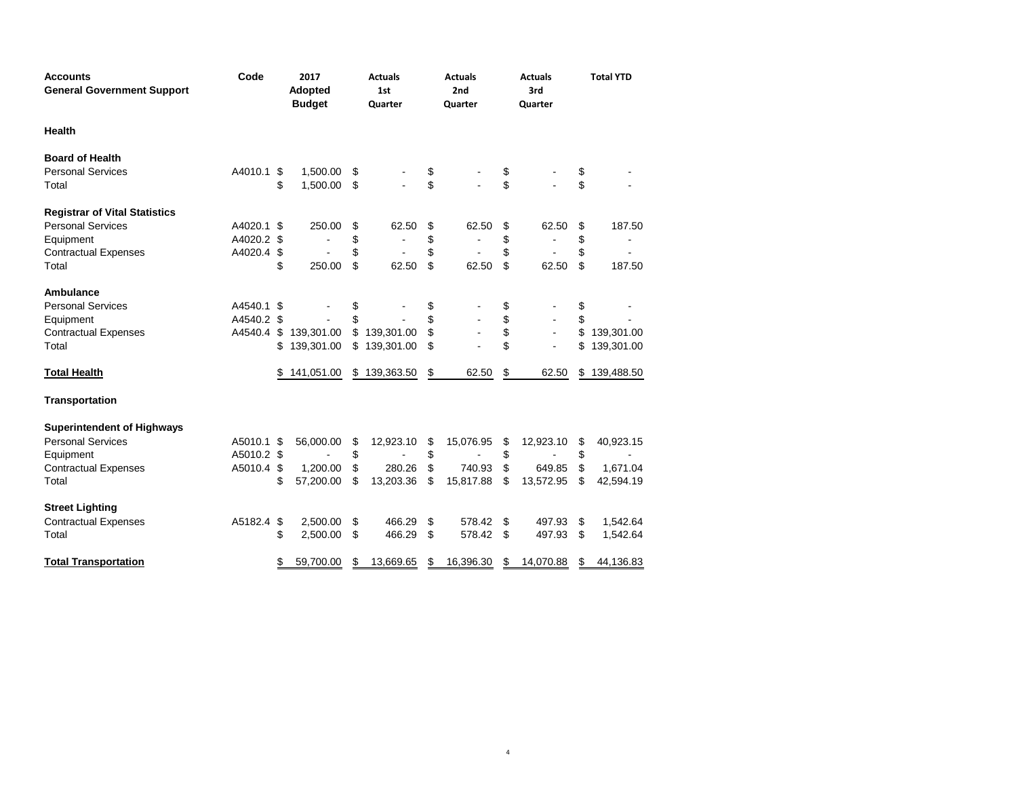| <b>Accounts</b>                      | Code    |     | 2017                            | Actuals          |     | <b>Actuals</b> | <b>Actuals</b>                 | <b>Total YTD</b>               |
|--------------------------------------|---------|-----|---------------------------------|------------------|-----|----------------|--------------------------------|--------------------------------|
| <b>General Government Support</b>    |         |     | <b>Adopted</b><br><b>Budget</b> | 1st<br>Quarter   |     | 2nd<br>Quarter | 3rd<br>Quarter                 |                                |
| <b>Health</b>                        |         |     |                                 |                  |     |                |                                |                                |
| <b>Board of Health</b>               |         |     |                                 |                  |     |                |                                |                                |
| <b>Personal Services</b>             | A4010.1 | \$  | 1,500.00                        | \$               | \$  |                | \$                             | \$                             |
| Total                                |         | \$  | 1,500.00                        | \$               | \$  |                | \$                             | \$                             |
| <b>Registrar of Vital Statistics</b> |         |     |                                 |                  |     |                |                                |                                |
| <b>Personal Services</b>             | A4020.1 | \$  | 250.00                          | \$<br>62.50      | \$  | 62.50          | \$<br>62.50                    | \$<br>187.50                   |
| Equipment                            | A4020.2 | \$  |                                 | \$               | \$  |                | \$                             | \$                             |
| <b>Contractual Expenses</b>          | A4020.4 | \$  |                                 | \$               | \$  |                | \$                             | \$                             |
| Total                                |         | \$  | 250.00                          | \$<br>62.50      | \$. | 62.50          | \$<br>62.50                    | \$<br>187.50                   |
| Ambulance                            |         |     |                                 |                  |     |                |                                |                                |
| <b>Personal Services</b>             | A4540.1 | \$  |                                 | \$               | \$  |                | \$                             | \$                             |
| Equipment                            | A4540.2 | \$  |                                 | \$               | \$  |                | \$                             | \$                             |
| <b>Contractual Expenses</b>          | A4540.4 | \$  | 139,301.00                      | \$<br>139,301.00 | \$  |                | \$                             | \$<br>139,301.00               |
| Total                                |         | \$  | 139,301.00                      | \$<br>139,301.00 | \$  |                | \$                             | \$<br>139,301.00               |
| <b>Total Health</b>                  |         | \$  | 141,051.00                      | \$139,363.50     | \$  | 62.50          | \$<br>62.50                    | \$139,488.50                   |
| <b>Transportation</b>                |         |     |                                 |                  |     |                |                                |                                |
| <b>Superintendent of Highways</b>    |         |     |                                 |                  |     |                |                                |                                |
| <b>Personal Services</b>             | A5010.1 | \$  | 56,000.00                       | \$<br>12,923.10  | \$  | 15,076.95      | \$<br>12,923.10                | \$<br>40,923.15                |
| Equipment                            | A5010.2 | -\$ | $\overline{\phantom{a}}$        | \$               | \$  | $\overline{a}$ | \$<br>$\overline{\phantom{a}}$ | \$<br>$\overline{\phantom{a}}$ |
| <b>Contractual Expenses</b>          | A5010.4 | \$  | 1,200.00                        | \$<br>280.26     | \$  | 740.93         | \$<br>649.85                   | \$<br>1,671.04                 |
| Total                                |         | \$  | 57,200.00                       | \$<br>13,203.36  | \$  | 15,817.88      | \$<br>13,572.95                | \$<br>42,594.19                |
| <b>Street Lighting</b>               |         |     |                                 |                  |     |                |                                |                                |
| <b>Contractual Expenses</b>          | A5182.4 | \$  | 2,500.00                        | \$<br>466.29     | S   | 578.42         | \$<br>497.93                   | \$<br>1,542.64                 |
| Total                                |         | \$  | 2,500.00                        | \$<br>466.29     | \$  | 578.42         | \$<br>497.93                   | \$<br>1,542.64                 |
| <b>Total Transportation</b>          |         | \$  | 59,700.00                       | \$<br>13,669.65  | \$  | 16,396.30      | \$<br>14,070.88                | \$<br>44,136.83                |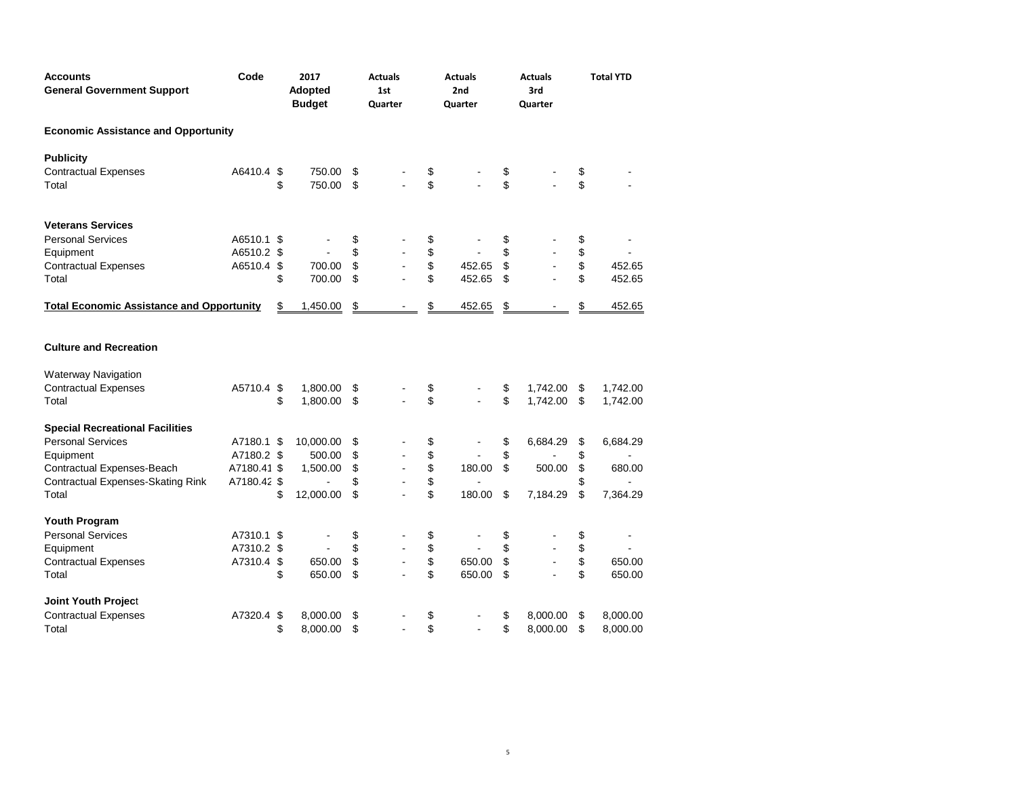| <b>Accounts</b><br><b>General Government Support</b> | Code        | 2017<br><b>Adopted</b><br><b>Budget</b> |          | <b>Actuals</b><br>1st<br>Quarter |          | <b>Actuals</b><br>2nd<br><b>Quarter</b> |          | <b>Actuals</b><br>3rd<br>Quarter |          | <b>Total YTD</b> |
|------------------------------------------------------|-------------|-----------------------------------------|----------|----------------------------------|----------|-----------------------------------------|----------|----------------------------------|----------|------------------|
| <b>Economic Assistance and Opportunity</b>           |             |                                         |          |                                  |          |                                         |          |                                  |          |                  |
| <b>Publicity</b>                                     |             |                                         |          |                                  |          |                                         |          |                                  |          |                  |
| <b>Contractual Expenses</b><br>Total                 | A6410.4 \$  | \$<br>750.00<br>750.00                  | \$<br>\$ |                                  | \$<br>\$ |                                         | \$<br>\$ |                                  | \$<br>\$ |                  |
| <b>Veterans Services</b>                             |             |                                         |          |                                  |          |                                         |          |                                  |          |                  |
| <b>Personal Services</b>                             | A6510.1     | \$                                      | \$       |                                  | \$       |                                         | \$       |                                  | \$       |                  |
| Equipment                                            | A6510.2     | \$                                      | \$       |                                  | \$       |                                         | \$       |                                  | \$       |                  |
| <b>Contractual Expenses</b>                          | A6510.4     | \$<br>700.00                            | \$       |                                  | \$       | 452.65                                  | \$       |                                  | \$       | 452.65           |
| Total                                                |             | \$<br>700.00                            | \$       |                                  | \$       | 452.65                                  | \$       |                                  | \$       | 452.65           |
| <b>Total Economic Assistance and Opportunity</b>     |             | \$<br>1,450.00                          | \$       |                                  | \$       | 452.65                                  | \$       |                                  | \$       | 452.65           |
| <b>Culture and Recreation</b>                        |             |                                         |          |                                  |          |                                         |          |                                  |          |                  |
| <b>Waterway Navigation</b>                           |             |                                         |          |                                  |          |                                         |          |                                  |          |                  |
| <b>Contractual Expenses</b>                          | A5710.4     | \$<br>1,800.00                          | \$       |                                  | \$       |                                         | \$       | 1,742.00                         | \$       | 1,742.00         |
| Total                                                |             | \$<br>1,800.00                          | \$       |                                  | \$       |                                         | \$       | 1,742.00                         | \$       | 1,742.00         |
| <b>Special Recreational Facilities</b>               |             |                                         |          |                                  |          |                                         |          |                                  |          |                  |
| <b>Personal Services</b>                             | A7180.1 \$  | 10,000.00                               | \$       |                                  | \$       |                                         | \$       | 6,684.29                         | \$       | 6,684.29         |
| Equipment                                            | A7180.2 \$  | 500.00                                  | \$       |                                  | \$       |                                         | \$       |                                  | \$       |                  |
| Contractual Expenses-Beach                           | A7180.41 \$ | 1,500.00                                | \$       |                                  | \$       | 180.00                                  | \$       | 500.00                           | \$       | 680.00           |
| <b>Contractual Expenses-Skating Rink</b><br>Total    | A7180.42 \$ | \$<br>$\blacksquare$<br>12,000.00       | \$<br>\$ | L,                               | \$<br>\$ | 180.00                                  | \$       | 7,184.29                         | \$<br>\$ | 7,364.29         |
| Youth Program                                        |             |                                         |          |                                  |          |                                         |          |                                  |          |                  |
| <b>Personal Services</b>                             | A7310.1 \$  |                                         | \$       |                                  | \$       |                                         | \$       |                                  | \$       |                  |
| Equipment                                            | A7310.2     | \$                                      | \$       |                                  | \$       |                                         | \$       |                                  | \$       |                  |
| <b>Contractual Expenses</b>                          | A7310.4     | \$<br>650.00                            | \$       |                                  | \$       | 650.00                                  | \$       |                                  | \$       | 650.00           |
| Total                                                |             | \$<br>650.00                            | \$       |                                  | \$       | 650.00                                  | \$       |                                  | \$       | 650.00           |
| Joint Youth Project                                  |             |                                         |          |                                  |          |                                         |          |                                  |          |                  |
| <b>Contractual Expenses</b>                          | A7320.4     | \$<br>8,000.00                          | \$       |                                  | \$       |                                         | \$       | 8,000.00                         | \$       | 8,000.00         |
| Total                                                |             | \$<br>8,000.00                          | \$       |                                  | \$       |                                         | \$       | 8,000.00                         | \$       | 8,000.00         |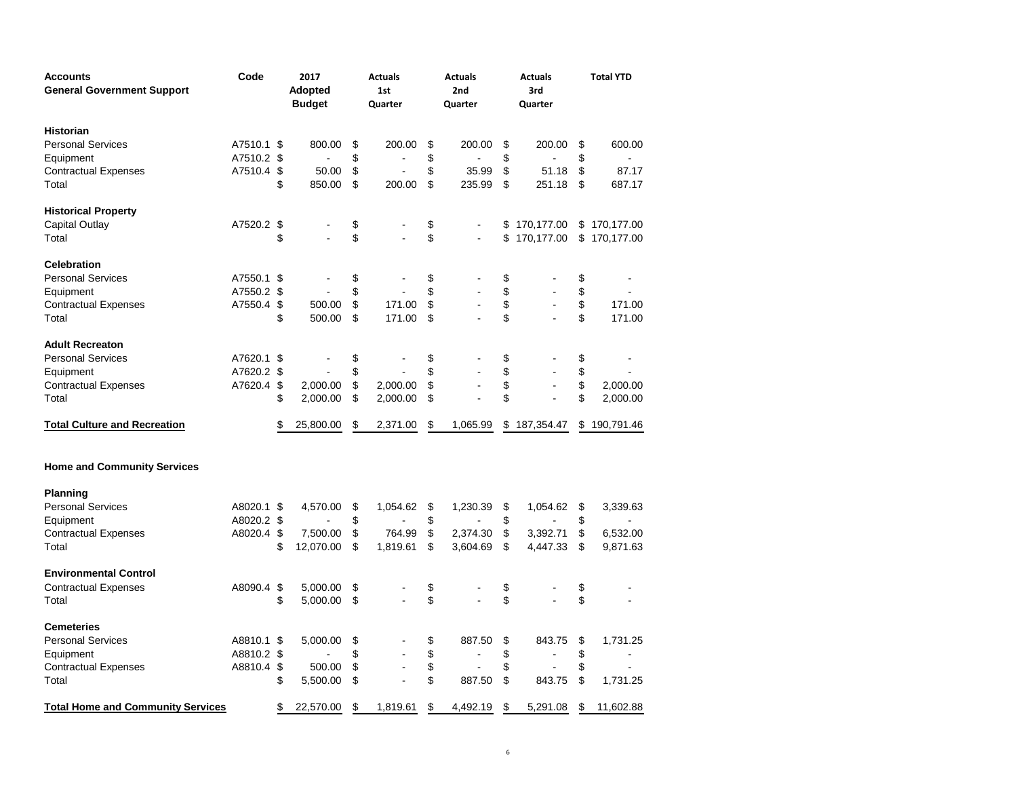| <b>Accounts</b><br><b>General Government Support</b> | Code       | 2017<br><b>Adopted</b><br><b>Budget</b> | <b>Actuals</b><br>1st<br>Quarter | <b>Actuals</b><br>2nd<br>Quarter | <b>Actuals</b><br>3rd<br>Quarter | <b>Total YTD</b> |
|------------------------------------------------------|------------|-----------------------------------------|----------------------------------|----------------------------------|----------------------------------|------------------|
| <b>Historian</b>                                     |            |                                         |                                  |                                  |                                  |                  |
| <b>Personal Services</b>                             | A7510.1    | \$<br>800.00                            | \$<br>200.00                     | \$<br>200.00                     | \$<br>200.00                     | \$<br>600.00     |
| Equipment                                            | A7510.2    | \$<br>$\overline{a}$                    | \$<br>$\blacksquare$             | \$<br>$\ddot{\phantom{a}}$       | \$<br>$\overline{a}$             | \$<br>÷.         |
| <b>Contractual Expenses</b>                          | A7510.4    | \$<br>50.00                             | \$<br>$\overline{a}$             | \$<br>35.99                      | \$<br>51.18                      | \$<br>87.17      |
| Total                                                |            | \$<br>850.00                            | \$<br>200.00                     | \$<br>235.99                     | \$<br>251.18                     | \$<br>687.17     |
| <b>Historical Property</b>                           |            |                                         |                                  |                                  |                                  |                  |
| Capital Outlay                                       | A7520.2 \$ |                                         | \$                               | \$                               | \$<br>170,177.00                 | \$<br>170,177.00 |
| Total                                                |            | \$<br>$\overline{a}$                    | \$<br>$\overline{a}$             | \$<br>$\sim$                     | \$<br>170,177.00                 | \$<br>170,177.00 |
| <b>Celebration</b>                                   |            |                                         |                                  |                                  |                                  |                  |
| <b>Personal Services</b>                             | A7550.1    | \$                                      | \$                               | \$                               | \$                               | \$               |
| Equipment                                            | A7550.2    | \$                                      | \$                               | \$                               | \$                               | \$               |
| <b>Contractual Expenses</b>                          | A7550.4    | \$<br>500.00                            | \$<br>171.00                     | \$<br>$\overline{\phantom{a}}$   | \$<br>$\blacksquare$             | \$<br>171.00     |
| Total                                                |            | \$<br>500.00                            | \$<br>171.00                     | \$                               | \$                               | \$<br>171.00     |
| <b>Adult Recreaton</b>                               |            |                                         |                                  |                                  |                                  |                  |
| <b>Personal Services</b>                             | A7620.1    | \$                                      | \$                               | \$                               | \$                               | \$               |
| Equipment                                            | A7620.2 \$ |                                         | \$                               | \$                               | \$                               | \$               |
| <b>Contractual Expenses</b>                          | A7620.4    | \$<br>2,000.00                          | \$<br>2,000.00                   | \$<br>$\blacksquare$             | \$<br>$\blacksquare$             | \$<br>2,000.00   |
| Total                                                |            | \$<br>2,000.00                          | \$<br>2,000.00                   | \$                               | \$                               | \$<br>2,000.00   |
| <b>Total Culture and Recreation</b>                  |            | \$<br>25,800.00                         | \$<br>2,371.00                   | \$<br>1,065.99                   | \$187,354.47                     | \$<br>190,791.46 |
| <b>Home and Community Services</b>                   |            |                                         |                                  |                                  |                                  |                  |
| <b>Planning</b>                                      |            |                                         |                                  |                                  |                                  |                  |
| <b>Personal Services</b>                             | A8020.1    | \$<br>4,570.00                          | \$<br>1,054.62                   | \$<br>1,230.39                   | \$<br>1,054.62                   | \$<br>3,339.63   |
| Equipment                                            | A8020.2 \$ |                                         | \$                               | \$                               | \$                               | \$               |
| <b>Contractual Expenses</b>                          | A8020.4 \$ | 7,500.00                                | \$<br>764.99                     | \$<br>2,374.30                   | \$<br>3,392.71                   | \$<br>6,532.00   |
| Total                                                |            | \$<br>12,070.00                         | \$<br>1,819.61                   | \$<br>3,604.69                   | \$<br>4,447.33                   | \$<br>9,871.63   |
| <b>Environmental Control</b>                         |            |                                         |                                  |                                  |                                  |                  |
| <b>Contractual Expenses</b>                          | A8090.4    | \$<br>5,000.00                          | \$                               | \$                               | \$                               | \$               |
| Total                                                |            | \$<br>5,000.00                          | \$                               | \$                               | \$                               | \$               |
| <b>Cemeteries</b>                                    |            |                                         |                                  |                                  |                                  |                  |
| <b>Personal Services</b>                             | A8810.1    | \$<br>5,000.00                          | \$                               | \$<br>887.50                     | \$<br>843.75                     | \$<br>1,731.25   |
| Equipment                                            | A8810.2    | \$                                      | \$<br>$\overline{a}$             | \$                               | \$<br>$\overline{a}$             | \$               |
| <b>Contractual Expenses</b>                          | A8810.4    | \$<br>500.00                            | \$<br>$\blacksquare$             | \$<br>$\overline{a}$             | \$<br>$\overline{a}$             | \$               |
| Total                                                |            | \$<br>5,500.00                          | \$                               | \$<br>887.50                     | \$<br>843.75                     | \$<br>1,731.25   |
| <b>Total Home and Community Services</b>             |            | \$<br>22,570.00                         | \$<br>1,819.61                   | \$<br>4,492.19                   | \$<br>5,291.08                   | \$<br>11,602.88  |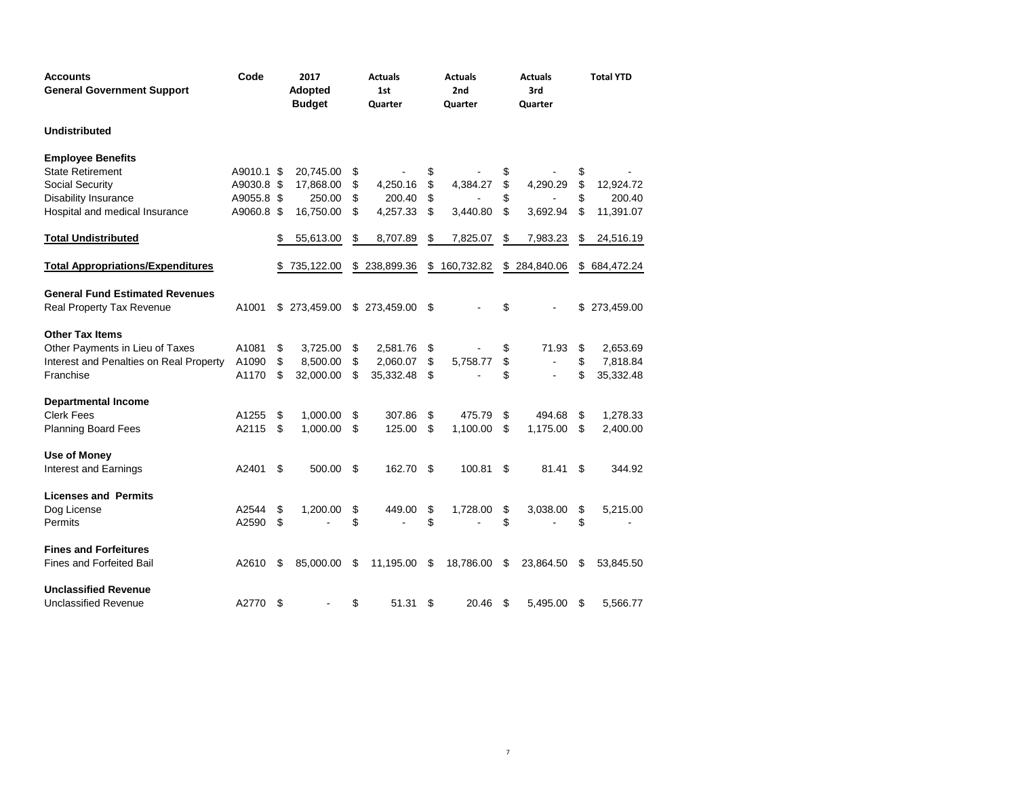| <b>Accounts</b>                          | Code       |     | 2017          | <b>Actuals</b>       |    | <b>Actuals</b> | <b>Actuals</b>   | <b>Total YTD</b> |
|------------------------------------------|------------|-----|---------------|----------------------|----|----------------|------------------|------------------|
| <b>General Government Support</b>        |            |     | Adopted       | 1st                  |    | 2nd            | 3rd              |                  |
|                                          |            |     | <b>Budget</b> | Quarter              |    | Quarter        | Quarter          |                  |
| <b>Undistributed</b>                     |            |     |               |                      |    |                |                  |                  |
| <b>Employee Benefits</b>                 |            |     |               |                      |    |                |                  |                  |
| <b>State Retirement</b>                  | A9010.1 \$ |     | 20,745.00     | \$                   | \$ |                | \$               | \$               |
| Social Security                          | A9030.8    | \$  | 17,868.00     | \$<br>4,250.16       | \$ | 4,384.27       | \$<br>4,290.29   | \$<br>12,924.72  |
| <b>Disability Insurance</b>              | A9055.8    | -\$ | 250.00        | \$<br>200.40         | \$ |                | \$               | \$<br>200.40     |
| Hospital and medical Insurance           | A9060.8 \$ |     | 16,750.00     | \$<br>4,257.33       | \$ | 3,440.80       | \$<br>3,692.94   | \$<br>11,391.07  |
| <b>Total Undistributed</b>               |            | \$  | 55,613.00     | \$<br>8,707.89       | \$ | 7,825.07       | \$<br>7,983.23   | \$<br>24,516.19  |
| <b>Total Appropriations/Expenditures</b> |            | S   | 735,122.00    | \$238,899.36         | S  | 160,732.82     | \$<br>284,840.06 | \$684,472.24     |
| <b>General Fund Estimated Revenues</b>   |            |     |               |                      |    |                |                  |                  |
| Real Property Tax Revenue                | A1001      | S   | 273,459.00    | \$273,459.00         | \$ |                | \$               | \$<br>273,459.00 |
| <b>Other Tax Items</b>                   |            |     |               |                      |    |                |                  |                  |
| Other Payments in Lieu of Taxes          | A1081      | \$  | 3.725.00      | \$<br>2,581.76       | \$ |                | \$<br>71.93      | \$<br>2,653.69   |
| Interest and Penalties on Real Property  | A1090      | \$  | 8,500.00      | \$<br>2,060.07       | \$ | 5,758.77       | \$               | \$<br>7,818.84   |
| Franchise                                | A1170      | \$  | 32,000.00     | \$<br>35,332.48      | \$ |                | \$               | \$<br>35,332.48  |
| <b>Departmental Income</b>               |            |     |               |                      |    |                |                  |                  |
| <b>Clerk Fees</b>                        | A1255      | \$  | 1,000.00      | \$<br>307.86         | \$ | 475.79         | \$<br>494.68     | \$<br>1,278.33   |
| <b>Planning Board Fees</b>               | A2115      | \$  | 1,000.00      | \$<br>125.00         | \$ | 1,100.00       | \$<br>1,175.00   | \$<br>2,400.00   |
| <b>Use of Money</b>                      |            |     |               |                      |    |                |                  |                  |
| Interest and Earnings                    | A2401      | \$  | 500.00        | \$<br>162.70         | \$ | 100.81         | \$<br>81.41      | \$<br>344.92     |
| <b>Licenses and Permits</b>              |            |     |               |                      |    |                |                  |                  |
| Dog License                              | A2544      | \$  | 1,200.00      | \$<br>449.00         | \$ | 1,728.00       | \$<br>3.038.00   | \$<br>5,215.00   |
| Permits                                  | A2590      | \$  |               | \$<br>$\blacksquare$ | \$ |                | \$               | \$               |
| <b>Fines and Forfeitures</b>             |            |     |               |                      |    |                |                  |                  |
| <b>Fines and Forfeited Bail</b>          | A2610      | \$  | 85,000.00     | \$<br>11,195.00      | \$ | 18,786.00      | \$<br>23,864.50  | \$<br>53,845.50  |
| <b>Unclassified Revenue</b>              |            |     |               |                      |    |                |                  |                  |
| Unclassified Revenue                     | A2770      | \$  |               | \$<br>51.31          | \$ | 20.46          | \$<br>5,495.00   | \$<br>5,566.77   |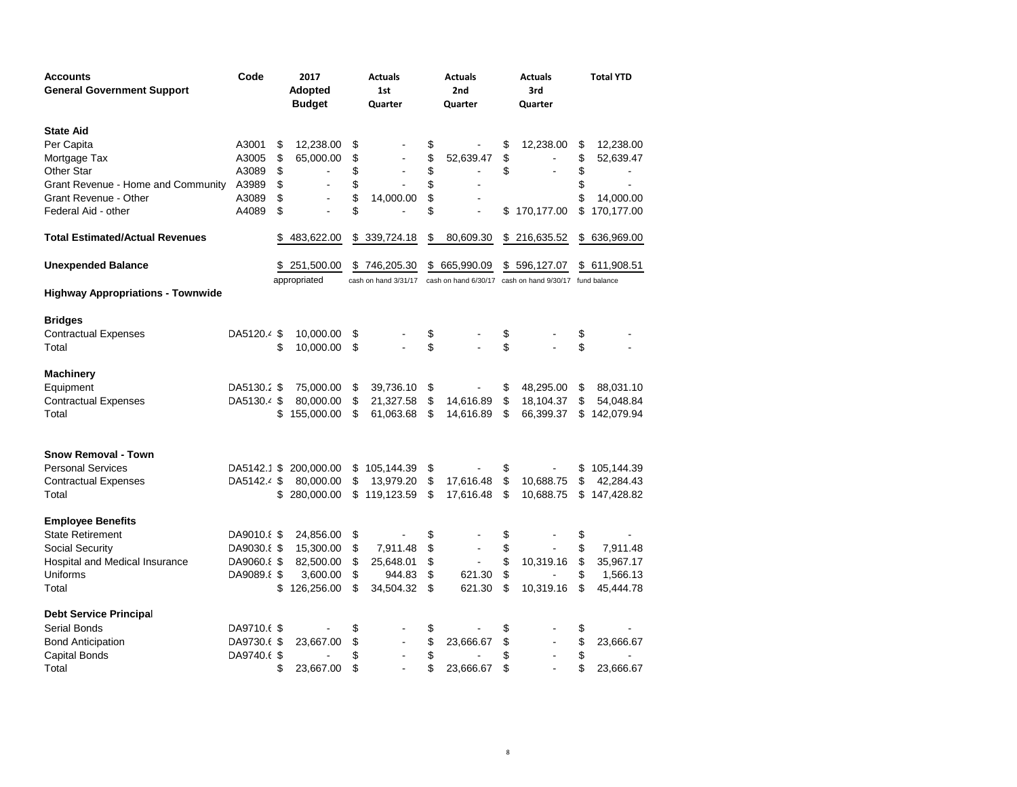| <b>Accounts</b>                          | Code        |     | 2017           | <b>Actuals</b>       | <b>Actuals</b>                                         |    | <b>Actuals</b> | <b>Total YTD</b>     |
|------------------------------------------|-------------|-----|----------------|----------------------|--------------------------------------------------------|----|----------------|----------------------|
| <b>General Government Support</b>        |             |     | <b>Adopted</b> | 1st                  | 2nd                                                    |    | 3rd            |                      |
|                                          |             |     | <b>Budget</b>  | Quarter              | Quarter                                                |    | Quarter        |                      |
| <b>State Aid</b>                         |             |     |                |                      |                                                        |    |                |                      |
| Per Capita                               | A3001       | \$  | 12,238.00      | \$                   | \$                                                     | \$ | 12,238.00      | \$<br>12,238.00      |
| Mortgage Tax                             | A3005       | \$  | 65,000.00      | \$                   | \$<br>52,639.47                                        | \$ |                | \$<br>52,639.47      |
| Other Star                               | A3089       | \$  | $\blacksquare$ | \$<br>$\blacksquare$ | \$                                                     | \$ |                | \$<br>$\blacksquare$ |
| Grant Revenue - Home and Community       | A3989       | \$  | $\blacksquare$ | \$                   | \$                                                     |    |                | \$<br>÷              |
| Grant Revenue - Other                    | A3089       | \$  |                | \$<br>14,000.00      | \$                                                     |    |                | \$<br>14,000.00      |
| Federal Aid - other                      | A4089       | \$  |                | \$                   | \$                                                     | \$ | 170,177.00     | \$<br>170,177.00     |
| <b>Total Estimated/Actual Revenues</b>   |             | \$  | 483,622.00     | \$<br>339,724.18     | \$<br>80,609.30                                        | \$ | 216,635.52     | \$<br>636,969.00     |
| <b>Unexpended Balance</b>                |             |     | \$251,500.00   | \$746,205.30         | \$<br>665,990.09                                       | \$ | 596,127.07     | \$ 611,908.51        |
|                                          |             |     | appropriated   | cash on hand 3/31/17 | cash on hand 6/30/17 cash on hand 9/30/17 fund balance |    |                |                      |
| <b>Highway Appropriations - Townwide</b> |             |     |                |                      |                                                        |    |                |                      |
| <b>Bridges</b>                           |             |     |                |                      |                                                        |    |                |                      |
| <b>Contractual Expenses</b>              | DA5120.4 \$ |     | 10,000.00      | \$                   | \$                                                     | \$ |                | \$                   |
| Total                                    |             | \$  | 10,000.00      | \$                   | \$                                                     | \$ |                | \$                   |
| Machinery                                |             |     |                |                      |                                                        |    |                |                      |
| Equipment                                | DA5130.2 \$ |     | 75,000.00      | \$<br>39,736.10      | \$                                                     | \$ | 48,295.00      | \$<br>88,031.10      |
| <b>Contractual Expenses</b>              | DA5130.4 \$ |     | 80,000.00      | \$<br>21,327.58      | \$<br>14,616.89                                        | \$ | 18,104.37      | \$<br>54,048.84      |
| Total                                    |             | \$. | 155,000.00     | \$<br>61,063.68      | \$<br>14,616.89                                        | S  | 66,399.37      | \$<br>142,079.94     |
| <b>Snow Removal - Town</b>               |             |     |                |                      |                                                        |    |                |                      |
| <b>Personal Services</b>                 | DA5142.1 \$ |     | 200,000.00     | \$<br>105,144.39     | \$                                                     | \$ |                | \$<br>105,144.39     |
| <b>Contractual Expenses</b>              | DA5142.4 \$ |     | 80,000.00      | \$<br>13,979.20      | \$<br>17,616.48                                        | \$ | 10,688.75      | \$<br>42,284.43      |
| Total                                    |             | \$  | 280,000.00     | \$<br>119,123.59     | \$<br>17,616.48                                        | \$ | 10,688.75      | \$<br>147,428.82     |
| <b>Employee Benefits</b>                 |             |     |                |                      |                                                        |    |                |                      |
| <b>State Retirement</b>                  | DA9010.8 \$ |     | 24,856.00      | \$                   | \$                                                     | \$ |                | \$                   |
| Social Security                          | DA9030.8 \$ |     | 15,300.00      | \$<br>7,911.48       | \$                                                     | \$ |                | \$<br>7,911.48       |
| Hospital and Medical Insurance           | DA9060.8 \$ |     | 82,500.00      | \$<br>25,648.01      | \$<br>$\blacksquare$                                   | \$ | 10,319.16      | \$<br>35,967.17      |
| Uniforms                                 | DA9089.8 \$ |     | 3,600.00       | \$<br>944.83         | \$<br>621.30                                           | \$ |                | \$<br>1,566.13       |
| Total                                    |             | \$  | 126,256.00     | \$<br>34,504.32      | \$<br>621.30                                           | \$ | 10,319.16      | \$<br>45,444.78      |
| <b>Debt Service Principal</b>            |             |     |                |                      |                                                        |    |                |                      |
| Serial Bonds                             | DA9710.6 \$ |     |                | \$                   | \$                                                     | \$ |                | \$                   |
| <b>Bond Anticipation</b>                 | DA9730.6 \$ |     | 23,667.00      | \$                   | \$<br>23,666.67                                        | \$ |                | \$<br>23,666.67      |
| Capital Bonds                            | DA9740.6 \$ |     |                | \$                   | \$                                                     | \$ | $\blacksquare$ | \$                   |
| Total                                    |             | \$  | 23,667.00      | \$                   | \$<br>23,666.67                                        | \$ |                | \$<br>23,666.67      |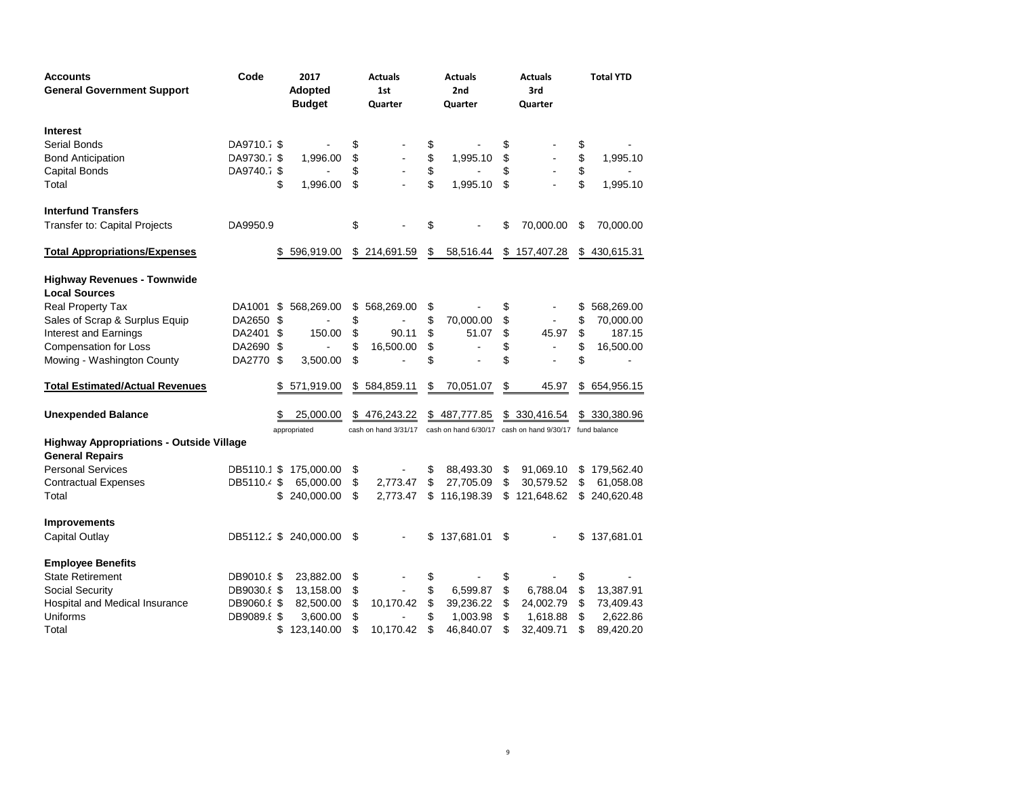| <b>Accounts</b>                                                           | Code               | 2017                   | <b>Actuals</b>       | <b>Actuals</b>       | <b>Actuals</b>                                         |    | <b>Total YTD</b> |
|---------------------------------------------------------------------------|--------------------|------------------------|----------------------|----------------------|--------------------------------------------------------|----|------------------|
| <b>General Government Support</b>                                         |                    | Adopted                | 1st                  | 2nd                  | 3rd                                                    |    |                  |
|                                                                           |                    | <b>Budget</b>          | Quarter              | Quarter              | Quarter                                                |    |                  |
| <b>Interest</b>                                                           |                    |                        |                      |                      |                                                        |    |                  |
| Serial Bonds                                                              | DA9710.7 \$        |                        | \$                   | \$                   | \$                                                     | \$ |                  |
| <b>Bond Anticipation</b>                                                  | DA9730.7 \$        | 1,996.00               | \$                   | \$<br>1,995.10       | \$                                                     | \$ | 1,995.10         |
| Capital Bonds                                                             | DA9740.7 \$        |                        | \$                   | \$                   |                                                        | \$ |                  |
| Total                                                                     | \$                 | 1,996.00               | \$                   | \$<br>1,995.10       | \$                                                     | \$ | 1,995.10         |
| <b>Interfund Transfers</b>                                                |                    |                        |                      |                      |                                                        |    |                  |
| Transfer to: Capital Projects                                             | DA9950.9           |                        | \$                   | \$                   | \$<br>70,000.00                                        | \$ | 70,000.00        |
| <b>Total Appropriations/Expenses</b>                                      | \$                 | 596,919.00             | \$214,691.59         | \$<br>58,516.44      | \$<br>157,407.28                                       | \$ | 430,615.31       |
| <b>Highway Revenues - Townwide</b>                                        |                    |                        |                      |                      |                                                        |    |                  |
| <b>Local Sources</b>                                                      |                    |                        |                      |                      |                                                        |    |                  |
| Real Property Tax                                                         | DA1001<br>\$       | 568,269.00             | \$<br>568,269.00     | \$                   | \$                                                     | \$ | 568,269.00       |
| Sales of Scrap & Surplus Equip                                            | DA2650<br>\$       |                        | \$                   | \$<br>70,000.00      | \$                                                     | \$ | 70,000.00        |
| <b>Interest and Earnings</b>                                              | DA2401<br>\$       | 150.00                 | \$<br>90.11          | \$<br>51.07          | \$<br>45.97                                            | \$ | 187.15           |
| <b>Compensation for Loss</b>                                              | DA2690<br>\$       |                        | \$<br>16,500.00      | \$<br>$\blacksquare$ | \$<br>$\blacksquare$                                   | \$ | 16,500.00        |
| Mowing - Washington County                                                | DA2770<br>\$       | 3,500.00               | \$                   | \$                   | \$                                                     | \$ | $\blacksquare$   |
| <b>Total Estimated/Actual Revenues</b>                                    | \$                 | 571,919.00             | \$<br>584,859.11     | \$<br>70,051.07      | \$<br>45.97                                            | \$ | 654,956.15       |
| <b>Unexpended Balance</b>                                                 | \$                 | 25,000.00              | \$476,243.22         | \$487,777.85         | \$ 330,416.54                                          |    | \$ 330,380.96    |
|                                                                           |                    | appropriated           | cash on hand 3/31/17 |                      | cash on hand 6/30/17 cash on hand 9/30/17 fund balance |    |                  |
| <b>Highway Appropriations - Outside Village</b><br><b>General Repairs</b> |                    |                        |                      |                      |                                                        |    |                  |
| <b>Personal Services</b>                                                  | DB5110.1 \$        | 175,000.00             | \$                   | \$<br>88,493.30      | \$<br>91,069.10                                        | \$ | 179,562.40       |
| <b>Contractual Expenses</b>                                               | DB5110.4 \$        | 65,000.00              | \$<br>2,773.47       | \$<br>27,705.09      | \$<br>30,579.52                                        | \$ | 61,058.08        |
| Total                                                                     | \$                 | 240,000.00             | \$<br>2,773.47       | \$<br>116,198.39     | \$<br>121,648.62                                       | \$ | 240,620.48       |
| <b>Improvements</b>                                                       |                    |                        |                      |                      |                                                        |    |                  |
| Capital Outlay                                                            |                    | DB5112.2 \$ 240,000.00 | \$                   | \$<br>137,681.01     | \$                                                     | S  | 137,681.01       |
| <b>Employee Benefits</b>                                                  |                    |                        |                      |                      |                                                        |    |                  |
| <b>State Retirement</b>                                                   | DB9010.8 \$        | 23,882.00              | \$                   | \$                   | \$                                                     | \$ |                  |
| Social Security                                                           | <b>DB9030.8 \$</b> | 13,158.00              | \$                   | \$<br>6,599.87       | \$<br>6,788.04                                         | \$ | 13,387.91        |
| Hospital and Medical Insurance                                            | DB9060.8 \$        | 82,500.00              | \$<br>10,170.42      | \$<br>39,236.22      | \$<br>24,002.79                                        | \$ | 73,409.43        |
| Uniforms                                                                  | DB9089.8 \$        | 3,600.00               | \$                   | \$<br>1,003.98       | \$<br>1,618.88                                         | \$ | 2,622.86         |
| Total                                                                     | \$                 | 123,140.00             | \$<br>10,170.42      | \$<br>46,840.07      | \$<br>32,409.71                                        | \$ | 89,420.20        |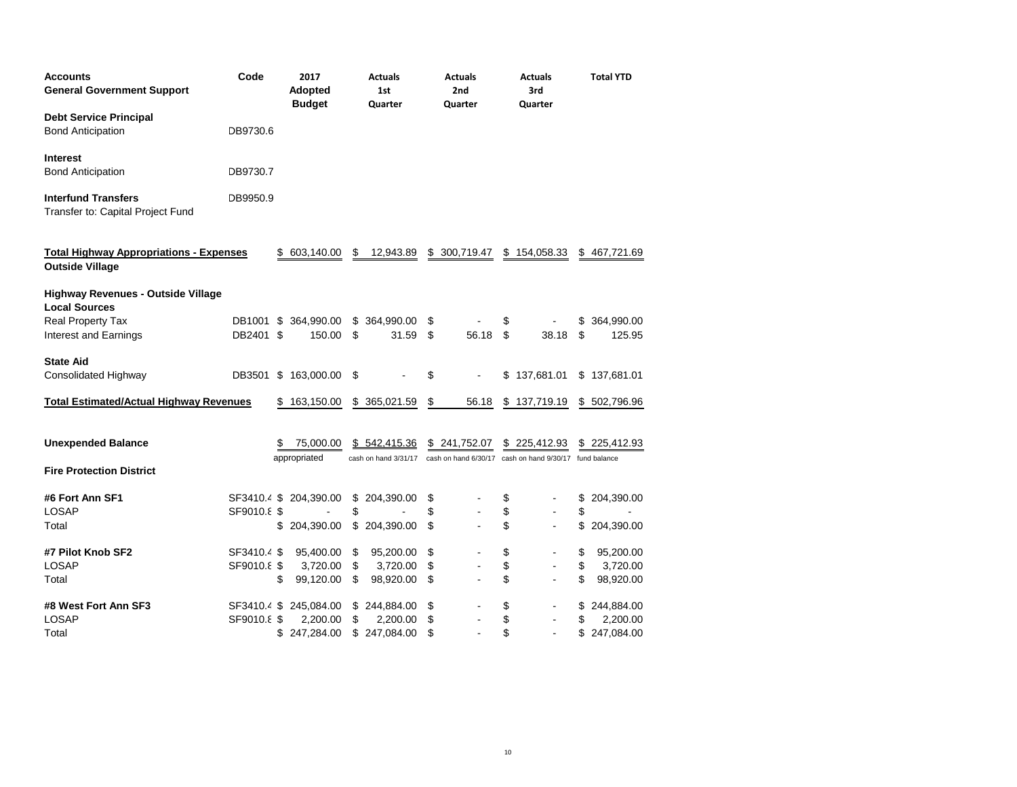| <b>Accounts</b>                                                   | Code        | 2017                            |    | <b>Actuals</b>       | <b>Actuals</b>                                         | <b>Actuals</b>   | <b>Total YTD</b> |
|-------------------------------------------------------------------|-------------|---------------------------------|----|----------------------|--------------------------------------------------------|------------------|------------------|
| <b>General Government Support</b>                                 |             | <b>Adopted</b><br><b>Budget</b> |    | 1st<br>Quarter       | 2nd<br>Quarter                                         | 3rd<br>Quarter   |                  |
| <b>Debt Service Principal</b>                                     |             |                                 |    |                      |                                                        |                  |                  |
| <b>Bond Anticipation</b>                                          | DB9730.6    |                                 |    |                      |                                                        |                  |                  |
| <b>Interest</b>                                                   |             |                                 |    |                      |                                                        |                  |                  |
| <b>Bond Anticipation</b>                                          | DB9730.7    |                                 |    |                      |                                                        |                  |                  |
| <b>Interfund Transfers</b><br>Transfer to: Capital Project Fund   | DB9950.9    |                                 |    |                      |                                                        |                  |                  |
| <b>Total Highway Appropriations - Expenses</b>                    |             | \$ 603,140.00                   | S  | 12,943.89            | \$300,719.47                                           | \$154,058.33     | \$467,721.69     |
| <b>Outside Village</b>                                            |             |                                 |    |                      |                                                        |                  |                  |
| <b>Highway Revenues - Outside Village</b><br><b>Local Sources</b> |             |                                 |    |                      |                                                        |                  |                  |
| <b>Real Property Tax</b>                                          |             | DB1001 \$ 364,990.00            | \$ | 364,990.00           | \$                                                     | \$               | \$<br>364,990.00 |
| Interest and Earnings                                             | DB2401 \$   | 150.00                          | \$ | 31.59                | \$<br>56.18                                            | \$<br>38.18      | \$<br>125.95     |
| <b>State Aid</b>                                                  |             |                                 |    |                      |                                                        |                  |                  |
| Consolidated Highway                                              | DB3501      | \$163,000.00                    | \$ |                      | \$                                                     | \$<br>137,681.01 | \$137,681.01     |
| <b>Total Estimated/Actual Highway Revenues</b>                    |             | \$163,150.00                    | \$ | 365,021.59           | \$<br>56.18                                            | \$137,719.19     | \$502,796.96     |
| <b>Unexpended Balance</b>                                         |             | \$<br>75,000.00                 | S  | 542.415.36           | \$241,752.07                                           | \$225,412.93     | \$225,412.93     |
| <b>Fire Protection District</b>                                   |             | appropriated                    |    | cash on hand 3/31/17 | cash on hand 6/30/17 cash on hand 9/30/17 fund balance |                  |                  |
| #6 Fort Ann SF1                                                   |             | SF3410.4 \$ 204,390.00          | \$ | 204,390.00           | \$                                                     | \$               | \$<br>204,390.00 |
| LOSAP                                                             | SF9010.8 \$ |                                 | \$ |                      | \$                                                     | \$               | \$               |
| Total                                                             |             | \$<br>204,390.00                | \$ | 204,390.00           | \$                                                     | \$<br>L,         | \$<br>204,390.00 |
| #7 Pilot Knob SF2                                                 | SF3410.4 \$ | 95,400.00                       | \$ | 95,200.00            | \$                                                     | \$               | \$<br>95,200.00  |
| LOSAP                                                             | SF9010.8 \$ | 3,720.00                        | \$ | 3,720.00             | \$                                                     | \$               | \$<br>3,720.00   |
| Total                                                             |             | \$<br>99,120.00                 | \$ | 98,920.00            | \$                                                     | \$               | \$<br>98,920.00  |
| #8 West Fort Ann SF3                                              |             | SF3410.4 \$ 245,084.00          | \$ | 244,884.00           | \$                                                     | \$               | \$<br>244,884.00 |
| LOSAP                                                             | SF9010.8 \$ | 2,200.00                        | \$ | 2,200.00             | \$                                                     | \$               | \$<br>2,200.00   |
| Total                                                             |             | \$<br>247,284.00                | \$ | 247,084.00           | \$                                                     | \$               | \$<br>247,084.00 |